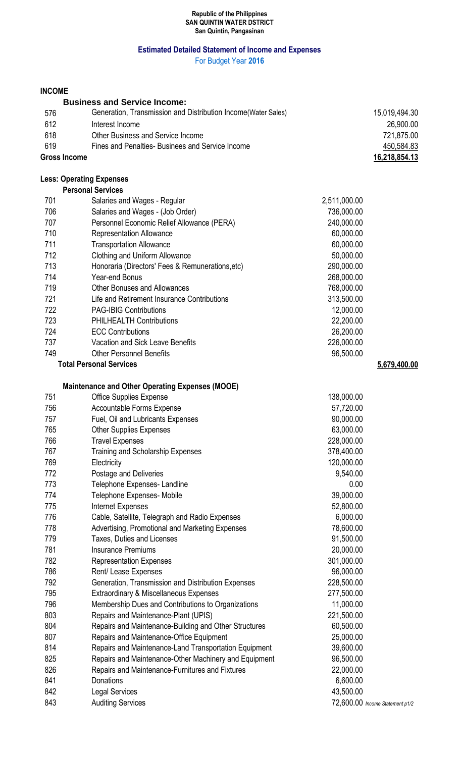### **Republic of the Philippines SAN QUINTIN WATER DSTRICT San Quintin, Pangasinan**

# **Estimated Detailed Statement of Income and Expenses**

For Budget Year **2016**

# **INCOME**

| INUUME |                                                               |              |               |
|--------|---------------------------------------------------------------|--------------|---------------|
|        | <b>Business and Service Income:</b>                           |              |               |
| 576    | Generation, Transmission and Distribution Income(Water Sales) |              | 15,019,494.30 |
| 612    | Interest Income                                               |              | 26,900.00     |
| 618    | <b>Other Business and Service Income</b>                      |              | 721,875.00    |
| 619    | Fines and Penalties- Businees and Service Income              |              | 450,584.83    |
|        | <b>Gross Income</b>                                           |              |               |
|        | <b>Less: Operating Expenses</b>                               |              |               |
|        | <b>Personal Services</b>                                      |              |               |
| 701    | Salaries and Wages - Regular                                  | 2,511,000.00 |               |
| 706    | Salaries and Wages - (Job Order)                              | 736,000.00   |               |
| 707    | Personnel Economic Relief Allowance (PERA)                    | 240,000.00   |               |
| 710    | <b>Representation Allowance</b>                               | 60,000.00    |               |
| 711    | <b>Transportation Allowance</b>                               | 60,000.00    |               |
| 712    | Clothing and Uniform Allowance                                | 50,000.00    |               |
| 713    | Honoraria (Directors' Fees & Remunerations, etc)              | 290,000.00   |               |
| 714    | <b>Year-end Bonus</b>                                         | 268,000.00   |               |
| 719    | <b>Other Bonuses and Allowances</b>                           | 768,000.00   |               |
| 721    | Life and Retirement Insurance Contributions                   | 313,500.00   |               |
| 722    | <b>PAG-IBIG Contributions</b>                                 | 12,000.00    |               |
| 723    | <b>PHILHEALTH Contributions</b>                               | 22,200.00    |               |
| 724    | <b>ECC Contributions</b>                                      | 26,200.00    |               |
| 737    | <b>Vacation and Sick Leave Benefits</b>                       | 226,000.00   |               |
| 749    | <b>Other Personnel Benefits</b>                               | 96,500.00    |               |
|        | <b>Total Personal Services</b>                                |              | 5,679,400.00  |
|        | <b>Maintenance and Other Operating Expenses (MOOE)</b>        |              |               |
| 751    | <b>Office Supplies Expense</b>                                | 138,000.00   |               |
| 756    | Accountable Forms Expense                                     | 57,720.00    |               |
| 757    | Fuel, Oil and Lubricants Expenses                             | 90,000.00    |               |
| 765    | <b>Other Supplies Expenses</b>                                | 63,000.00    |               |
| 766    | <b>Travel Expenses</b>                                        | 228,000.00   |               |
| 767    | Training and Scholarship Expenses                             | 378,400.00   |               |
| 769    | Electricity                                                   | 120,000.00   |               |
| 772    | Postage and Deliveries                                        | 9,540.00     |               |
| 773    | Telephone Expenses- Landline                                  | 0.00         |               |
| 774    | Telephone Expenses- Mobile                                    | 39,000.00    |               |
| 775    | <b>Internet Expenses</b>                                      | 52,800.00    |               |
| 776    | Cable, Satellite, Telegraph and Radio Expenses                | 6,000.00     |               |
| 778    | Advertising, Promotional and Marketing Expenses               | 78,600.00    |               |
| 779    | Taxes, Duties and Licenses                                    | 91,500.00    |               |
| 781    | Insurance Premiums                                            | 20,000.00    |               |

| 792             | Generation, Transmission and Distribution Expenses           | 228,500.00       |
|-----------------|--------------------------------------------------------------|------------------|
| 795             | Extraordinary & Miscellaneous Expenses                       | 277,500.00       |
| 796             | Membership Dues and Contributions to Organizations           | 11,000.00        |
| 803             | Repairs and Maintenance-Plant (UPIS)                         | 221,500.00       |
| 804             | Repairs and Maintenance-Building and Other Structures        | 60,500.00        |
| 807             | Repairs and Maintenance-Office Equipment                     | 25,000.00        |
| $Q$ 1 $\Lambda$ | <b>Pongire and Maintenance Land Transportation Equipment</b> | <b>30 GOO OO</b> |

814 Repairs and Maintenance-Land Transportation Equipment 39,600.00 825 Repairs and Maintenance-Other Machinery and Equipment 96,500.00 826 Repairs and Maintenance-Furnitures and Fixtures 22,000.00

 Representation Expenses 301,000.00 786 Rent/ Lease Expenses **1998** Rent/ Lease Expenses

841 Donations 6,600.00 842 Legal Services 43,500.00 843 Auditing Services **Auditing Services Auditing Services** *Research Research Research**Auditing Services Research**Auditing Services* **<b>***Research Research Research Research Research Re*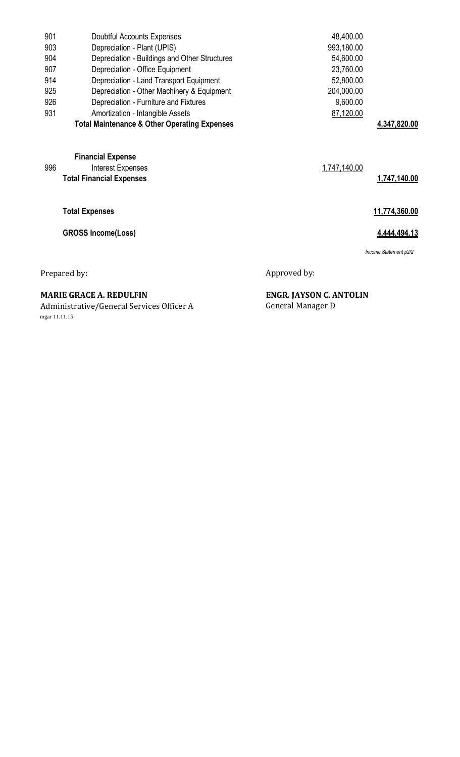| 901          | Doubtful Accounts Expenses                                                       |              | 48,400.00    |                       |
|--------------|----------------------------------------------------------------------------------|--------------|--------------|-----------------------|
| 903          | Depreciation - Plant (UPIS)                                                      |              | 993,180.00   |                       |
| 904          | Depreciation - Buildings and Other Structures                                    |              | 54,600.00    |                       |
| 907          | Depreciation - Office Equipment                                                  |              | 23,760.00    |                       |
| 914          | Depreciation - Land Transport Equipment                                          |              | 52,800.00    |                       |
| 925          | Depreciation - Other Machinery & Equipment                                       |              | 204,000.00   |                       |
| 926          | Depreciation - Furniture and Fixtures                                            |              | 9,600.00     |                       |
| 931          | Amortization - Intangible Assets                                                 |              | 87,120.00    |                       |
|              | <b>Total Maintenance &amp; Other Operating Expenses</b>                          |              |              | 4,347,820.00          |
| 996          | <b>Financial Expense</b><br>Interest Expenses<br><b>Total Financial Expenses</b> |              | 1,747,140.00 | 1,747,140.00          |
|              | <b>Total Expenses</b>                                                            |              |              | 11,774,360.00         |
|              | <b>GROSS Income(Loss)</b>                                                        |              |              | 4.444,494.13          |
|              |                                                                                  |              |              | Income Statement p2/2 |
| Prepared by: |                                                                                  | Approved by: |              |                       |
|              |                                                                                  |              |              |                       |

Administrative/General Services Officer A General Manager D mgar 11.11.15

**MARIE GRACE A. REDULFIN ENGR. JAYSON C. ANTOLIN**